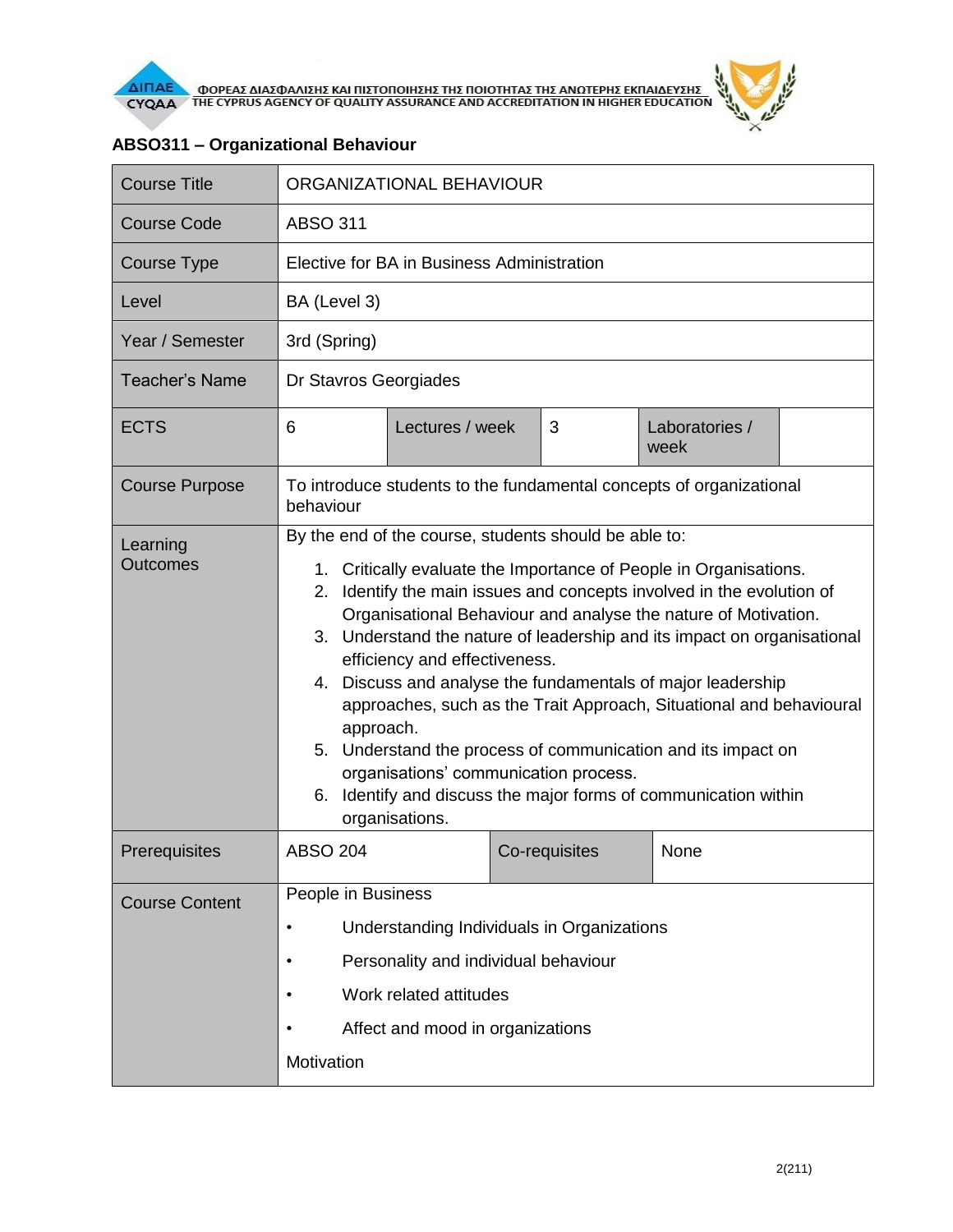

| <b>Course Title</b>         | ORGANIZATIONAL BEHAVIOUR                                                                                                                                                                                                                                                                                                                                                                                                                                                                                                                                                                                                                                                                                                                 |                 |               |                        |  |
|-----------------------------|------------------------------------------------------------------------------------------------------------------------------------------------------------------------------------------------------------------------------------------------------------------------------------------------------------------------------------------------------------------------------------------------------------------------------------------------------------------------------------------------------------------------------------------------------------------------------------------------------------------------------------------------------------------------------------------------------------------------------------------|-----------------|---------------|------------------------|--|
| <b>Course Code</b>          | <b>ABSO 311</b>                                                                                                                                                                                                                                                                                                                                                                                                                                                                                                                                                                                                                                                                                                                          |                 |               |                        |  |
| <b>Course Type</b>          | Elective for BA in Business Administration                                                                                                                                                                                                                                                                                                                                                                                                                                                                                                                                                                                                                                                                                               |                 |               |                        |  |
| Level                       | BA (Level 3)                                                                                                                                                                                                                                                                                                                                                                                                                                                                                                                                                                                                                                                                                                                             |                 |               |                        |  |
| Year / Semester             | 3rd (Spring)                                                                                                                                                                                                                                                                                                                                                                                                                                                                                                                                                                                                                                                                                                                             |                 |               |                        |  |
| <b>Teacher's Name</b>       | Dr Stavros Georgiades                                                                                                                                                                                                                                                                                                                                                                                                                                                                                                                                                                                                                                                                                                                    |                 |               |                        |  |
| <b>ECTS</b>                 | 6                                                                                                                                                                                                                                                                                                                                                                                                                                                                                                                                                                                                                                                                                                                                        | Lectures / week | 3             | Laboratories /<br>week |  |
| <b>Course Purpose</b>       | To introduce students to the fundamental concepts of organizational<br>behaviour                                                                                                                                                                                                                                                                                                                                                                                                                                                                                                                                                                                                                                                         |                 |               |                        |  |
| Learning<br><b>Outcomes</b> | By the end of the course, students should be able to:<br>1. Critically evaluate the Importance of People in Organisations.<br>Identify the main issues and concepts involved in the evolution of<br>2.<br>Organisational Behaviour and analyse the nature of Motivation.<br>3. Understand the nature of leadership and its impact on organisational<br>efficiency and effectiveness.<br>4. Discuss and analyse the fundamentals of major leadership<br>approaches, such as the Trait Approach, Situational and behavioural<br>approach.<br>5. Understand the process of communication and its impact on<br>organisations' communication process.<br>Identify and discuss the major forms of communication within<br>6.<br>organisations. |                 |               |                        |  |
| Prerequisites               | <b>ABSO 204</b>                                                                                                                                                                                                                                                                                                                                                                                                                                                                                                                                                                                                                                                                                                                          |                 | Co-requisites | None                   |  |
| <b>Course Content</b>       | People in Business<br>Understanding Individuals in Organizations<br>Personality and individual behaviour<br>$\bullet$<br>Work related attitudes<br>Affect and mood in organizations<br>Motivation                                                                                                                                                                                                                                                                                                                                                                                                                                                                                                                                        |                 |               |                        |  |

## **ABSO311 – Organizational Behaviour**

 $\tilde{r}$